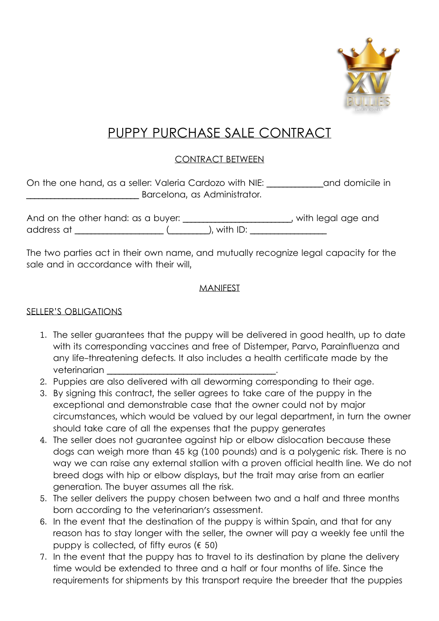

# PUPPY PURCHASE SALE CONTRACT

## CONTRACT BETWEEN

| On the one hand, as a seller: Valeria Cardozo with NIE: |  | and domicile in |
|---------------------------------------------------------|--|-----------------|
| Barcelona, as Administrator.                            |  |                 |

| And on the other hand: as a buyer: |                | with legal age and |
|------------------------------------|----------------|--------------------|
| address at                         | ), with $ID$ : |                    |

The two parties act in their own name, and mutually recognize legal capacity for the sale and in accordance with their will,

#### MANIFEST

#### SELLER'S OBLIGATIONS

- 1. The seller guarantees that the puppy will be delivered in good health, up to date with its corresponding vaccines and free of Distemper, Parvo, Parainfluenza and any life-threatening defects. It also includes a health certificate made by the veterinarian
- 2. Puppies are also delivered with all deworming corresponding to their age.
- 3. By signing this contract, the seller agrees to take care of the puppy in the exceptional and demonstrable case that the owner could not by major circumstances, which would be valued by our legal department, in turn the owner should take care of all the expenses that the puppy generates
- 4. The seller does not guarantee against hip or elbow dislocation because these dogs can weigh more than 45 kg (100 pounds) and is a polygenic risk. There is no way we can raise any external stallion with a proven official health line. We do not breed dogs with hip or elbow displays, but the trait may arise from an earlier generation. The buyer assumes all the risk.
- 5. The seller delivers the puppy chosen between two and a half and three months born according to the veterinarian's assessment.
- 6. In the event that the destination of the puppy is within Spain, and that for any reason has to stay longer with the seller, the owner will pay a weekly fee until the puppy is collected, of fifty euros ( $\epsilon$  50)
- 7. In the event that the puppy has to travel to its destination by plane the delivery time would be extended to three and a half or four months of life. Since the requirements for shipments by this transport require the breeder that the puppies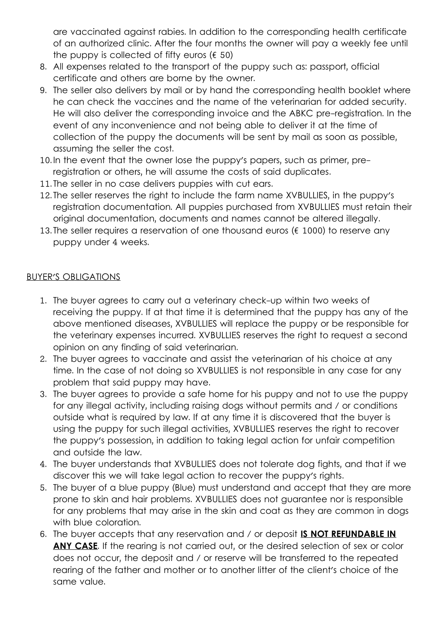are vaccinated against rabies. In addition to the corresponding health certificate of an authorized clinic. After the four months the owner will pay a weekly fee until the puppy is collected of fifty euros ( $\epsilon$  50)

- 8. All expenses related to the transport of the puppy such as: passport, official certificate and others are borne by the owner.
- 9. The seller also delivers by mail or by hand the corresponding health booklet where he can check the vaccines and the name of the veterinarian for added security. He will also deliver the corresponding invoice and the ABKC pre-registration. In the event of any inconvenience and not being able to deliver it at the time of collection of the puppy the documents will be sent by mail as soon as possible, assuming the seller the cost.
- 10. In the event that the owner lose the puppy's papers, such as primer, preregistration or others, he will assume the costs of said duplicates.
- 11. The seller in no case delivers puppies with cut ears.
- 12. The seller reserves the right to include the farm name XVBULLIES, in the puppy's registration documentation. All puppies purchased from XVBULLIES must retain their original documentation, documents and names cannot be altered illegally.
- 13. The seller requires a reservation of one thousand euros ( $\epsilon$  1000) to reserve any puppy under 4 weeks.

### BUYER'S OBLIGATIONS

- 1. The buyer agrees to carry out a veterinary check-up within two weeks of receiving the puppy. If at that time it is determined that the puppy has any of the above mentioned diseases, XVBULLIES will replace the puppy or be responsible for the veterinary expenses incurred. XVBULLIES reserves the right to request a second opinion on any finding of said veterinarian.
- 2. The buyer agrees to vaccinate and assist the veterinarian of his choice at any time. In the case of not doing so XVBULLIES is not responsible in any case for any problem that said puppy may have.
- 3. The buyer agrees to provide a safe home for his puppy and not to use the puppy for any illegal activity, including raising dogs without permits and / or conditions outside what is required by law. If at any time it is discovered that the buyer is using the puppy for such illegal activities, XVBULLIES reserves the right to recover the puppy's possession, in addition to taking legal action for unfair competition and outside the law.
- 4. The buyer understands that XVBULLIES does not tolerate dog fights, and that if we discover this we will take legal action to recover the puppy's rights.
- 5. The buyer of a blue puppy (Blue) must understand and accept that they are more prone to skin and hair problems. XVBULLIES does not guarantee nor is responsible for any problems that may arise in the skin and coat as they are common in dogs with blue coloration.
- 6. The buyer accepts that any reservation and / or deposit **IS NOT REFUNDABLE IN**  ANY CASE. If the rearing is not carried out, or the desired selection of sex or color does not occur, the deposit and / or reserve will be transferred to the repeated rearing of the father and mother or to another litter of the client's choice of the same value.